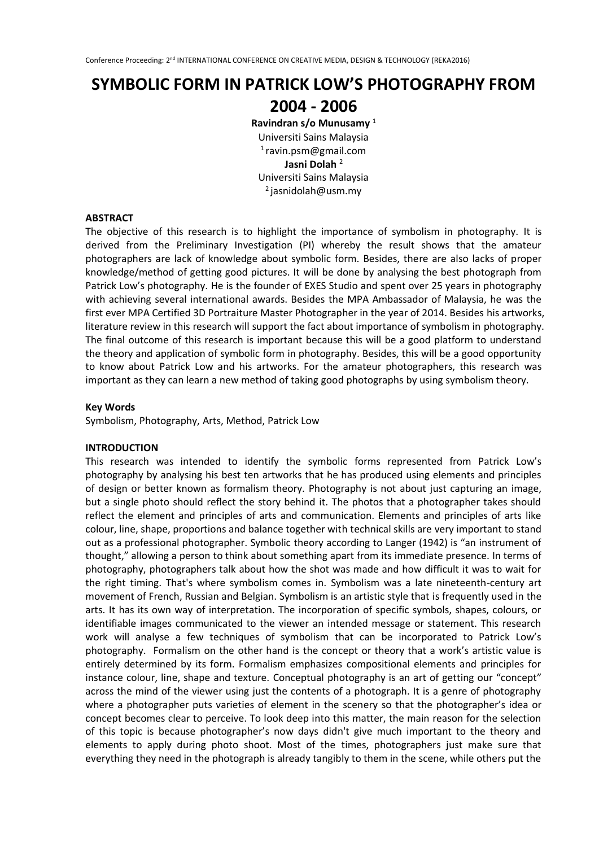# **SYMBOLIC FORM IN PATRICK LOW'S PHOTOGRAPHY FROM**

# **2004 - 2006**

**Ravindran s/o Munusamy** <sup>1</sup> Universiti Sains Malaysia <sup>1</sup>ravin.psm@gmail.com **Jasni Dolah** <sup>2</sup> Universiti Sains Malaysia  $2$ jasnidolah@usm.my

## **ABSTRACT**

The objective of this research is to highlight the importance of symbolism in photography. It is derived from the Preliminary Investigation (PI) whereby the result shows that the amateur photographers are lack of knowledge about symbolic form. Besides, there are also lacks of proper knowledge/method of getting good pictures. It will be done by analysing the best photograph from Patrick Low's photography. He is the founder of EXES Studio and spent over 25 years in photography with achieving several international awards. Besides the MPA Ambassador of Malaysia, he was the first ever MPA Certified 3D Portraiture Master Photographer in the year of 2014. Besides his artworks, literature review in this research will support the fact about importance of symbolism in photography. The final outcome of this research is important because this will be a good platform to understand the theory and application of symbolic form in photography. Besides, this will be a good opportunity to know about Patrick Low and his artworks. For the amateur photographers, this research was important as they can learn a new method of taking good photographs by using symbolism theory.

## **Key Words**

Symbolism, Photography, Arts, Method, Patrick Low

# **INTRODUCTION**

This research was intended to identify the symbolic forms represented from Patrick Low's photography by analysing his best ten artworks that he has produced using elements and principles of design or better known as formalism theory. Photography is not about just capturing an image, but a single photo should reflect the story behind it. The photos that a photographer takes should reflect the element and principles of arts and communication. Elements and principles of arts like colour, line, shape, proportions and balance together with technical skills are very important to stand out as a professional photographer. Symbolic theory according to Langer (1942) is "an instrument of thought," allowing a person to think about something apart from its immediate presence. In terms of photography, photographers talk about how the shot was made and how difficult it was to wait for the right timing. That's where symbolism comes in. Symbolism was a late nineteenth-century art movement of French, Russian and Belgian. Symbolism is an artistic style that is frequently used in the arts. It has its own way of interpretation. The incorporation of specific symbols, shapes, colours, or identifiable images communicated to the viewer an intended message or statement. This research work will analyse a few techniques of symbolism that can be incorporated to Patrick Low's photography. Formalism on the other hand is the concept or theory that a work's artistic value is entirely determined by its form. Formalism emphasizes compositional elements and principles for instance colour, line, shape and texture. Conceptual photography is an art of getting our "concept" across the mind of the viewer using just the contents of a photograph. It is a genre of photography where a photographer puts varieties of element in the scenery so that the photographer's idea or concept becomes clear to perceive. To look deep into this matter, the main reason for the selection of this topic is because photographer's now days didn't give much important to the theory and elements to apply during photo shoot. Most of the times, photographers just make sure that everything they need in the photograph is already tangibly to them in the scene, while others put the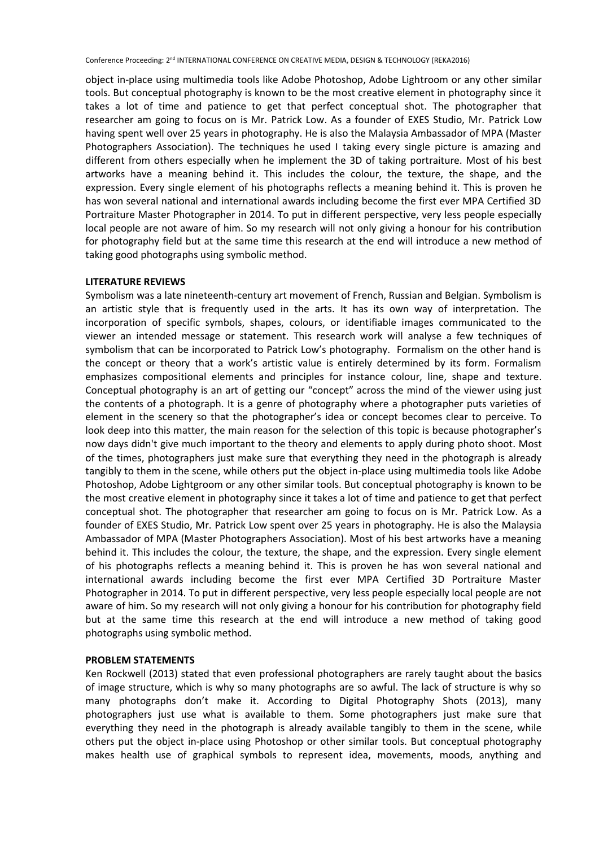Conference Proceeding: 2<sup>nd</sup> INTERNATIONAL CONFERENCE ON CREATIVE MEDIA, DESIGN & TECHNOLOGY (REKA2016)

object in-place using multimedia tools like Adobe Photoshop, Adobe Lightroom or any other similar tools. But conceptual photography is known to be the most creative element in photography since it takes a lot of time and patience to get that perfect conceptual shot. The photographer that researcher am going to focus on is Mr. Patrick Low. As a founder of EXES Studio, Mr. Patrick Low having spent well over 25 years in photography. He is also the Malaysia Ambassador of MPA (Master Photographers Association). The techniques he used I taking every single picture is amazing and different from others especially when he implement the 3D of taking portraiture. Most of his best artworks have a meaning behind it. This includes the colour, the texture, the shape, and the expression. Every single element of his photographs reflects a meaning behind it. This is proven he has won several national and international awards including become the first ever MPA Certified 3D Portraiture Master Photographer in 2014. To put in different perspective, very less people especially local people are not aware of him. So my research will not only giving a honour for his contribution for photography field but at the same time this research at the end will introduce a new method of taking good photographs using symbolic method.

#### **LITERATURE REVIEWS**

Symbolism was a late nineteenth-century art movement of French, Russian and Belgian. Symbolism is an artistic style that is frequently used in the arts. It has its own way of interpretation. The incorporation of specific symbols, shapes, colours, or identifiable images communicated to the viewer an intended message or statement. This research work will analyse a few techniques of symbolism that can be incorporated to Patrick Low's photography. Formalism on the other hand is the concept or theory that a work's artistic value is entirely determined by its form. Formalism emphasizes compositional elements and principles for instance colour, line, shape and texture. Conceptual photography is an art of getting our "concept" across the mind of the viewer using just the contents of a photograph. It is a genre of photography where a photographer puts varieties of element in the scenery so that the photographer's idea or concept becomes clear to perceive. To look deep into this matter, the main reason for the selection of this topic is because photographer's now days didn't give much important to the theory and elements to apply during photo shoot. Most of the times, photographers just make sure that everything they need in the photograph is already tangibly to them in the scene, while others put the object in-place using multimedia tools like Adobe Photoshop, Adobe Lightgroom or any other similar tools. But conceptual photography is known to be the most creative element in photography since it takes a lot of time and patience to get that perfect conceptual shot. The photographer that researcher am going to focus on is Mr. Patrick Low. As a founder of EXES Studio, Mr. Patrick Low spent over 25 years in photography. He is also the Malaysia Ambassador of MPA (Master Photographers Association). Most of his best artworks have a meaning behind it. This includes the colour, the texture, the shape, and the expression. Every single element of his photographs reflects a meaning behind it. This is proven he has won several national and international awards including become the first ever MPA Certified 3D Portraiture Master Photographer in 2014. To put in different perspective, very less people especially local people are not aware of him. So my research will not only giving a honour for his contribution for photography field but at the same time this research at the end will introduce a new method of taking good photographs using symbolic method.

#### **PROBLEM STATEMENTS**

Ken Rockwell (2013) stated that even professional photographers are rarely taught about the basics of image structure, which is why so many photographs are so awful. The lack of structure is why so many photographs don't make it. According to Digital Photography Shots (2013), many photographers just use what is available to them. Some photographers just make sure that everything they need in the photograph is already available tangibly to them in the scene, while others put the object in-place using Photoshop or other similar tools. But conceptual photography makes health use of graphical symbols to represent idea, movements, moods, anything and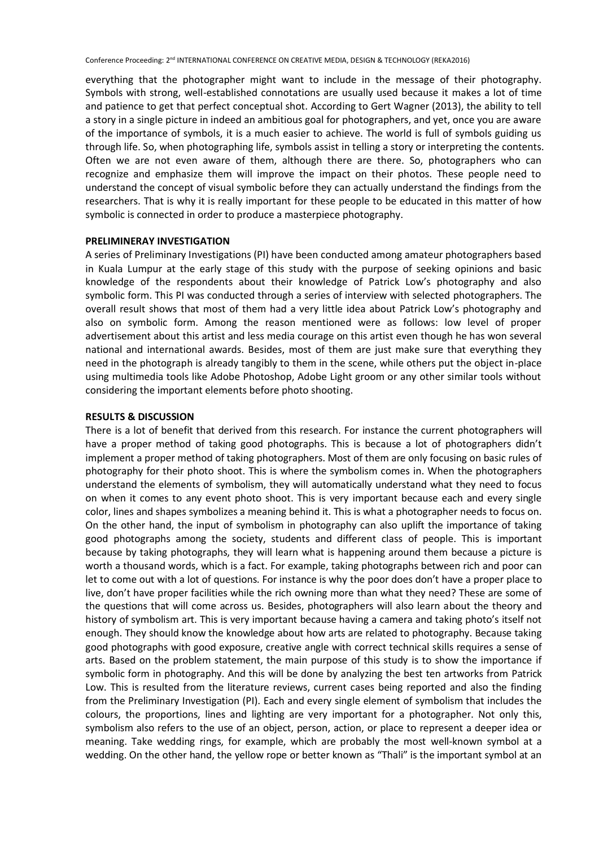everything that the photographer might want to include in the message of their photography. Symbols with strong, well-established connotations are usually used because it makes a lot of time and patience to get that perfect conceptual shot. According to Gert Wagner (2013), the ability to tell a story in a single picture in indeed an ambitious goal for photographers, and yet, once you are aware of the importance of symbols, it is a much easier to achieve. The world is full of symbols guiding us through life. So, when photographing life, symbols assist in telling a story or interpreting the contents. Often we are not even aware of them, although there are there. So, photographers who can recognize and emphasize them will improve the impact on their photos. These people need to understand the concept of visual symbolic before they can actually understand the findings from the researchers. That is why it is really important for these people to be educated in this matter of how symbolic is connected in order to produce a masterpiece photography.

#### **PRELIMINERAY INVESTIGATION**

A series of Preliminary Investigations (PI) have been conducted among amateur photographers based in Kuala Lumpur at the early stage of this study with the purpose of seeking opinions and basic knowledge of the respondents about their knowledge of Patrick Low's photography and also symbolic form. This PI was conducted through a series of interview with selected photographers. The overall result shows that most of them had a very little idea about Patrick Low's photography and also on symbolic form. Among the reason mentioned were as follows: low level of proper advertisement about this artist and less media courage on this artist even though he has won several national and international awards. Besides, most of them are just make sure that everything they need in the photograph is already tangibly to them in the scene, while others put the object in-place using multimedia tools like Adobe Photoshop, Adobe Light groom or any other similar tools without considering the important elements before photo shooting.

#### **RESULTS & DISCUSSION**

There is a lot of benefit that derived from this research. For instance the current photographers will have a proper method of taking good photographs. This is because a lot of photographers didn't implement a proper method of taking photographers. Most of them are only focusing on basic rules of photography for their photo shoot. This is where the symbolism comes in. When the photographers understand the elements of symbolism, they will automatically understand what they need to focus on when it comes to any event photo shoot. This is very important because each and every single color, lines and shapes symbolizes a meaning behind it. This is what a photographer needs to focus on. On the other hand, the input of symbolism in photography can also uplift the importance of taking good photographs among the society, students and different class of people. This is important because by taking photographs, they will learn what is happening around them because a picture is worth a thousand words, which is a fact. For example, taking photographs between rich and poor can let to come out with a lot of questions. For instance is why the poor does don't have a proper place to live, don't have proper facilities while the rich owning more than what they need? These are some of the questions that will come across us. Besides, photographers will also learn about the theory and history of symbolism art. This is very important because having a camera and taking photo's itself not enough. They should know the knowledge about how arts are related to photography. Because taking good photographs with good exposure, creative angle with correct technical skills requires a sense of arts. Based on the problem statement, the main purpose of this study is to show the importance if symbolic form in photography. And this will be done by analyzing the best ten artworks from Patrick Low. This is resulted from the literature reviews, current cases being reported and also the finding from the Preliminary Investigation (PI). Each and every single element of symbolism that includes the colours, the proportions, lines and lighting are very important for a photographer. Not only this, symbolism also refers to the use of an object, person, action, or place to represent a deeper idea or meaning. Take wedding rings, for example, which are probably the most well-known symbol at a wedding. On the other hand, the yellow rope or better known as "Thali" is the important symbol at an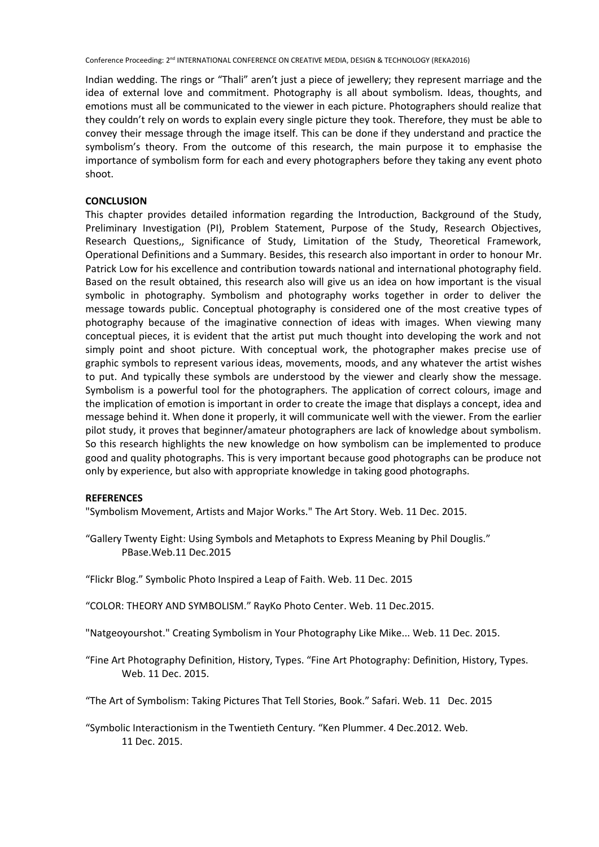Conference Proceeding: 2<sup>nd</sup> INTERNATIONAL CONFERENCE ON CREATIVE MEDIA, DESIGN & TECHNOLOGY (REKA2016)

Indian wedding. The rings or "Thali" aren't just a piece of jewellery; they represent marriage and the idea of external love and commitment. Photography is all about symbolism. Ideas, thoughts, and emotions must all be communicated to the viewer in each picture. Photographers should realize that they couldn't rely on words to explain every single picture they took. Therefore, they must be able to convey their message through the image itself. This can be done if they understand and practice the symbolism's theory. From the outcome of this research, the main purpose it to emphasise the importance of symbolism form for each and every photographers before they taking any event photo shoot.

#### **CONCLUSION**

This chapter provides detailed information regarding the Introduction, Background of the Study, Preliminary Investigation (PI), Problem Statement, Purpose of the Study, Research Objectives, Research Questions,, Significance of Study, Limitation of the Study, Theoretical Framework, Operational Definitions and a Summary. Besides, this research also important in order to honour Mr. Patrick Low for his excellence and contribution towards national and international photography field. Based on the result obtained, this research also will give us an idea on how important is the visual symbolic in photography. Symbolism and photography works together in order to deliver the message towards public. Conceptual photography is considered one of the most creative types of photography because of the imaginative connection of ideas with images. When viewing many conceptual pieces, it is evident that the artist put much thought into developing the work and not simply point and shoot picture. With conceptual work, the photographer makes precise use of graphic symbols to represent various ideas, movements, moods, and any whatever the artist wishes to put. And typically these symbols are understood by the viewer and clearly show the message. Symbolism is a powerful tool for the photographers. The application of correct colours, image and the implication of emotion is important in order to create the image that displays a concept, idea and message behind it. When done it properly, it will communicate well with the viewer. From the earlier pilot study, it proves that beginner/amateur photographers are lack of knowledge about symbolism. So this research highlights the new knowledge on how symbolism can be implemented to produce good and quality photographs. This is very important because good photographs can be produce not only by experience, but also with appropriate knowledge in taking good photographs.

#### **REFERENCES**

"Symbolism Movement, Artists and Major Works." The Art Story. Web. 11 Dec. 2015.

"Gallery Twenty Eight: Using Symbols and Metaphots to Express Meaning by Phil Douglis." PBase.Web.11 Dec.2015

"Flickr Blog." Symbolic Photo Inspired a Leap of Faith. Web. 11 Dec. 2015

"COLOR: THEORY AND SYMBOLISM." RayKo Photo Center. Web. 11 Dec.2015.

"Natgeoyourshot." Creating Symbolism in Your Photography Like Mike... Web. 11 Dec. 2015.

"Fine Art Photography Definition, History, Types. "Fine Art Photography: Definition, History, Types. Web. 11 Dec. 2015.

"The Art of Symbolism: Taking Pictures That Tell Stories, Book." Safari. Web. 11 Dec. 2015

"Symbolic Interactionism in the Twentieth Century. "Ken Plummer. 4 Dec.2012. Web. 11 Dec. 2015.